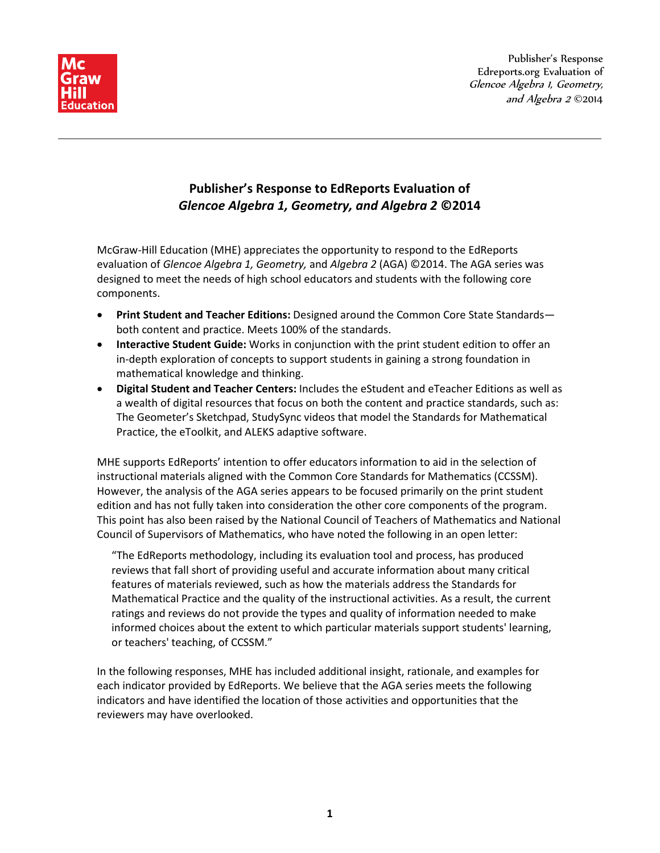

# **Publisher's Response to EdReports Evaluation of** *Glencoe Algebra 1, Geometry, and Algebra 2* **©2014**

McGraw-Hill Education (MHE) appreciates the opportunity to respond to the EdReports evaluation of *Glencoe Algebra 1, Geometry,* and *Algebra 2* (AGA) ©2014. The AGA series was designed to meet the needs of high school educators and students with the following core components.

- **Print Student and Teacher Editions:** Designed around the Common Core State Standards both content and practice. Meets 100% of the standards.
- **Interactive Student Guide:** Works in conjunction with the print student edition to offer an in-depth exploration of concepts to support students in gaining a strong foundation in mathematical knowledge and thinking.
- **Digital Student and Teacher Centers:** Includes the eStudent and eTeacher Editions as well as a wealth of digital resources that focus on both the content and practice standards, such as: The Geometer's Sketchpad, StudySync videos that model the Standards for Mathematical Practice, the eToolkit, and ALEKS adaptive software.

MHE supports EdReports' intention to offer educators information to aid in the selection of instructional materials aligned with the Common Core Standards for Mathematics (CCSSM). However, the analysis of the AGA series appears to be focused primarily on the print student edition and has not fully taken into consideration the other core components of the program. This point has also been raised by the National Council of Teachers of Mathematics and National Council of Supervisors of Mathematics, who have noted the following in an open letter:

"The EdReports methodology, including its evaluation tool and process, has produced reviews that fall short of providing useful and accurate information about many critical features of materials reviewed, such as how the materials address the Standards for Mathematical Practice and the quality of the instructional activities. As a result, the current ratings and reviews do not provide the types and quality of information needed to make informed choices about the extent to which particular materials support students' learning, or teachers' teaching, of CCSSM."

In the following responses, MHE has included additional insight, rationale, and examples for each indicator provided by EdReports. We believe that the AGA series meets the following indicators and have identified the location of those activities and opportunities that the reviewers may have overlooked.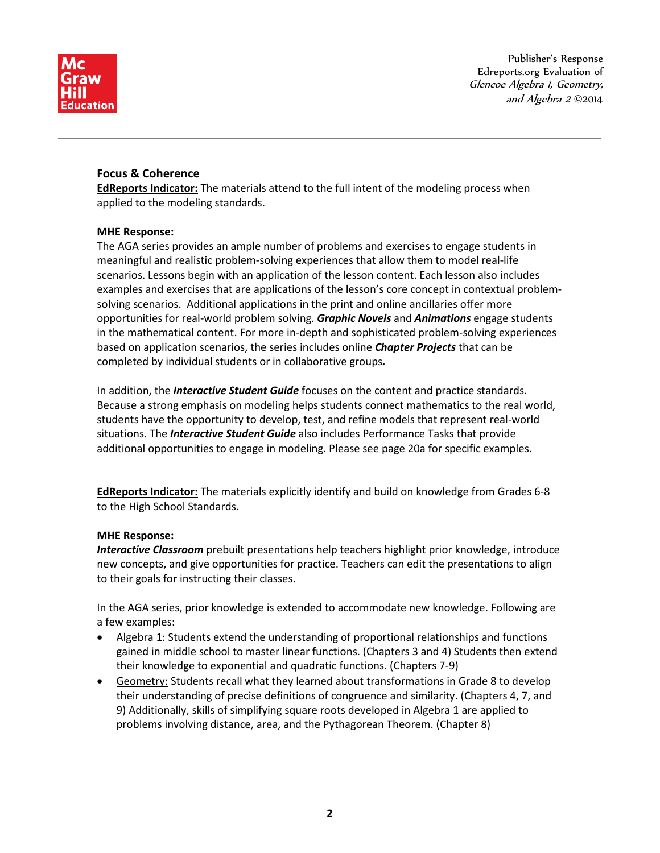

## **Focus & Coherence**

**EdReports Indicator:** The materials attend to the full intent of the modeling process when applied to the modeling standards.

## **MHE Response:**

The AGA series provides an ample number of problems and exercises to engage students in meaningful and realistic problem-solving experiences that allow them to model real-life scenarios. Lessons begin with an application of the lesson content. Each lesson also includes examples and exercises that are applications of the lesson's core concept in contextual problemsolving scenarios. Additional applications in the print and online ancillaries offer more opportunities for real-world problem solving. *Graphic Novels* and *Animations* engage students in the mathematical content. For more in-depth and sophisticated problem-solving experiences based on application scenarios, the series includes online *Chapter Projects* that can be completed by individual students or in collaborative groups*.*

In addition, the *Interactive Student Guide* focuses on the content and practice standards. Because a strong emphasis on modeling helps students connect mathematics to the real world, students have the opportunity to develop, test, and refine models that represent real-world situations. The *Interactive Student Guide* also includes Performance Tasks that provide additional opportunities to engage in modeling. Please see page 20a for specific examples.

**EdReports Indicator:** The materials explicitly identify and build on knowledge from Grades 6-8 to the High School Standards.

## **MHE Response:**

*Interactive Classroom* prebuilt presentations help teachers highlight prior knowledge, introduce new concepts, and give opportunities for practice. Teachers can edit the presentations to align to their goals for instructing their classes.

In the AGA series, prior knowledge is extended to accommodate new knowledge. Following are a few examples:

- Algebra 1: Students extend the understanding of proportional relationships and functions gained in middle school to master linear functions. (Chapters 3 and 4) Students then extend their knowledge to exponential and quadratic functions. (Chapters 7-9)
- Geometry: Students recall what they learned about transformations in Grade 8 to develop their understanding of precise definitions of congruence and similarity. (Chapters 4, 7, and 9) Additionally, skills of simplifying square roots developed in Algebra 1 are applied to problems involving distance, area, and the Pythagorean Theorem. (Chapter 8)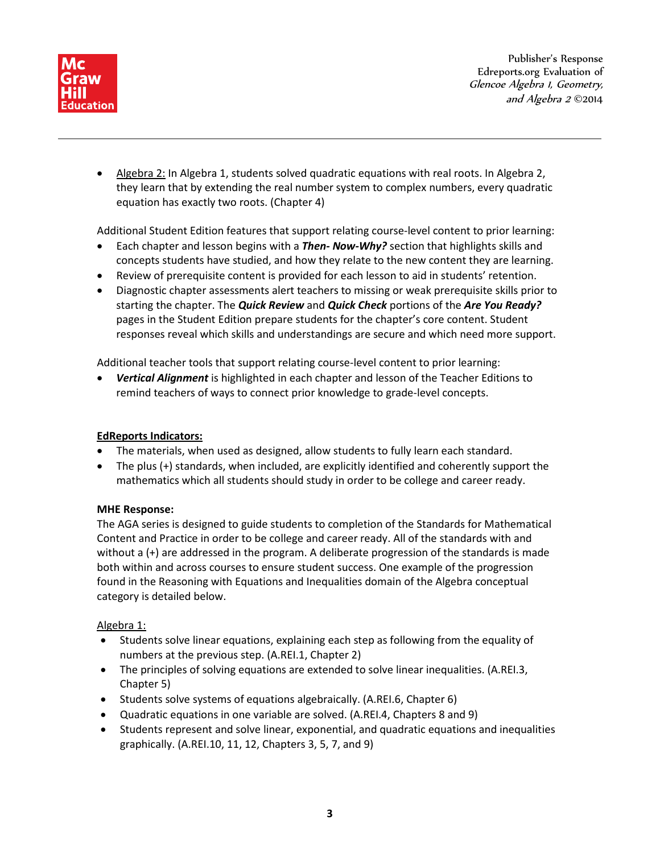

• Algebra 2: In Algebra 1, students solved quadratic equations with real roots. In Algebra 2, they learn that by extending the real number system to complex numbers, every quadratic equation has exactly two roots. (Chapter 4)

Additional Student Edition features that support relating course-level content to prior learning:

- Each chapter and lesson begins with a *Then- Now-Why?* section that highlights skills and concepts students have studied, and how they relate to the new content they are learning.
- Review of prerequisite content is provided for each lesson to aid in students' retention.
- Diagnostic chapter assessments alert teachers to missing or weak prerequisite skills prior to starting the chapter. The *Quick Review* and *Quick Check* portions of the *Are You Ready?* pages in the Student Edition prepare students for the chapter's core content. Student responses reveal which skills and understandings are secure and which need more support.

Additional teacher tools that support relating course-level content to prior learning:

• *Vertical Alignment* is highlighted in each chapter and lesson of the Teacher Editions to remind teachers of ways to connect prior knowledge to grade-level concepts.

# **EdReports Indicators:**

- The materials, when used as designed, allow students to fully learn each standard.
- The plus (+) standards, when included, are explicitly identified and coherently support the mathematics which all students should study in order to be college and career ready.

## **MHE Response:**

The AGA series is designed to guide students to completion of the Standards for Mathematical Content and Practice in order to be college and career ready. All of the standards with and without a (+) are addressed in the program. A deliberate progression of the standards is made both within and across courses to ensure student success. One example of the progression found in the Reasoning with Equations and Inequalities domain of the Algebra conceptual category is detailed below.

## Algebra 1:

- Students solve linear equations, explaining each step as following from the equality of numbers at the previous step. (A.REI.1, Chapter 2)
- The principles of solving equations are extended to solve linear inequalities. (A.REI.3, Chapter 5)
- Students solve systems of equations algebraically. (A.REI.6, Chapter 6)
- Quadratic equations in one variable are solved. (A.REI.4, Chapters 8 and 9)
- Students represent and solve linear, exponential, and quadratic equations and inequalities graphically. (A.REI.10, 11, 12, Chapters 3, 5, 7, and 9)